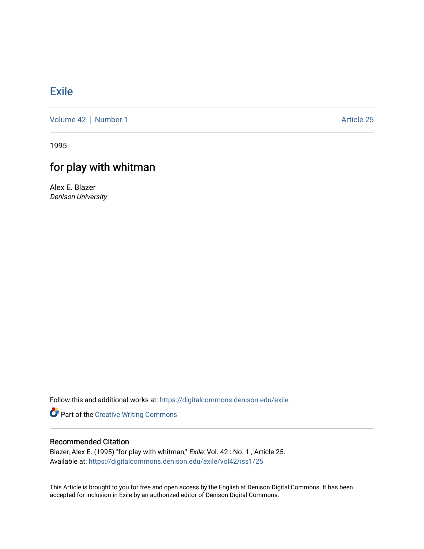## [Exile](https://digitalcommons.denison.edu/exile)

[Volume 42](https://digitalcommons.denison.edu/exile/vol42) | [Number 1](https://digitalcommons.denison.edu/exile/vol42/iss1) Article 25

1995

## for play with whitman

Alex E. Blazer Denison University

Follow this and additional works at: [https://digitalcommons.denison.edu/exile](https://digitalcommons.denison.edu/exile?utm_source=digitalcommons.denison.edu%2Fexile%2Fvol42%2Fiss1%2F25&utm_medium=PDF&utm_campaign=PDFCoverPages) 

Part of the [Creative Writing Commons](http://network.bepress.com/hgg/discipline/574?utm_source=digitalcommons.denison.edu%2Fexile%2Fvol42%2Fiss1%2F25&utm_medium=PDF&utm_campaign=PDFCoverPages) 

## Recommended Citation

Blazer, Alex E. (1995) "for play with whitman," Exile: Vol. 42 : No. 1, Article 25. Available at: [https://digitalcommons.denison.edu/exile/vol42/iss1/25](https://digitalcommons.denison.edu/exile/vol42/iss1/25?utm_source=digitalcommons.denison.edu%2Fexile%2Fvol42%2Fiss1%2F25&utm_medium=PDF&utm_campaign=PDFCoverPages)

This Article is brought to you for free and open access by the English at Denison Digital Commons. It has been accepted for inclusion in Exile by an authorized editor of Denison Digital Commons.